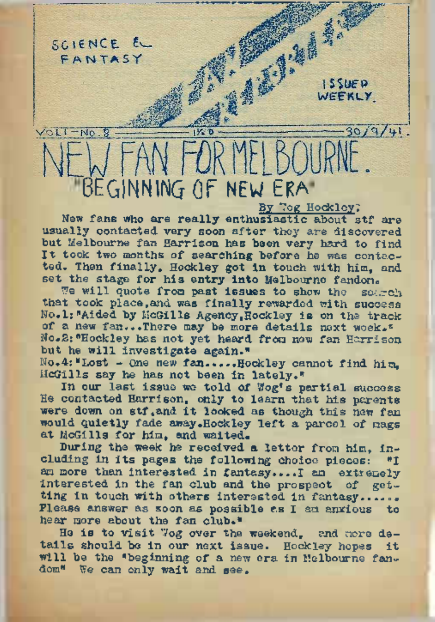

New fans who are really enthusiastic about stf are usually contacted very soon after they are discovered but Melbourne fan Harrison has been very hard to find It took two months of searching before he was contacted. Then finally, Hockley got in touch with him, and set the stage for his entry into Melbourne fandon.

We will quote from past issues to show the search that took place, and was finally rewarded with success No.1: "Aided by McGills Agency, Hockley is on the track of a new fan...There may be more details next week." No.2:"Hockley has not yet heard from new fan Harrison but he will investigate again."

No»4:MLost - One new fan.....Hockley cannot find him, McGills say he has not been in lately."

In our last issue we told of Wog's partial success He contacted Harrison, only to learn that his parents were down on stf, and it looked as though this new fan would quietly fade away.Hockley left a parcel of mags at McGills for him, and waited.

During the week he received a letter from him, including in its pages the following choice pieces: "I am more than interested in fantasy.... I am extremely interested in the fan club and the prospect of getting in touch with others interested in fantasy...... Please answer as soon as possible as I am anxious to hear more about the fan club."

He is to visit Wog over the weekend, and more details should be in our next issue. Hockley hopes it will be the "beginning of a new era in Melbourne fandom" We can only wait and see.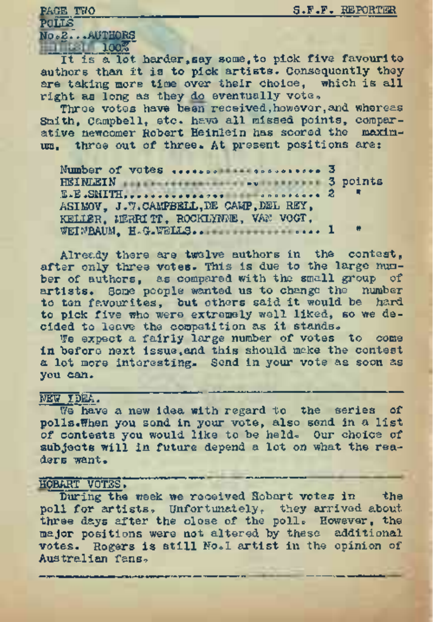PAGE TWO S.F.F. REPORTER

#### POLLS

Noog.". .AUTHORS **Jook** 100%

It is a lot harder, say some, to pick five favourite authors than it is to pick artists. Consequently they are taking more time over their choice. which is all right as long as they do eventually vote,

Three votes have been received, however, and whereas Smith, Campbell, etc. have all missed points, comparative newcomer Robert Heinlein has scored the maximum. three out of three. At present positions are:

Number of votes ... ..o. ® «o..... .. 3 HEINLEIN **BEING BEING 3** points E.E.SMITH.... .. .. ......on-JO.0o.. <sup>2</sup> <sup>n</sup> ASIMOV, J.W.CAMPBELL,DE CAMP,DEL REY, KELIER, MERRITT, ROCKLYNNE, VAN VOGT, WEINBAUM, H.G.WELLS.. .... ... ..... 1

Already there are twelve authors in the contest, after only three votes. This is due to the large number of authors, as compared with the small group of artists. Some people wanted us to change the number to ten favourites, but others said it would be hard to pick five who were extremely well liked, so we decided to leave the competition as it stands.

We expect a fairly large number of votes to come in before next issue, and this should make the contest a lot more interesting. Send in your vote as soon as you can.

# NEW IDEA.

We have a new idea with regard to the series of polls.When you send in your vote, also send in a list of contests you would like to be held. Our choice of subjects will in future depend a lot on what the readers want.

# HOBART VOTES.

During the week we received Hobart votes in the poll for artists. Unfortunately, they arrived about three days after the close of the poll. However, the major positions were not altered by these additional votes. Rogers is still No. I artist in the opinion of Australian fans.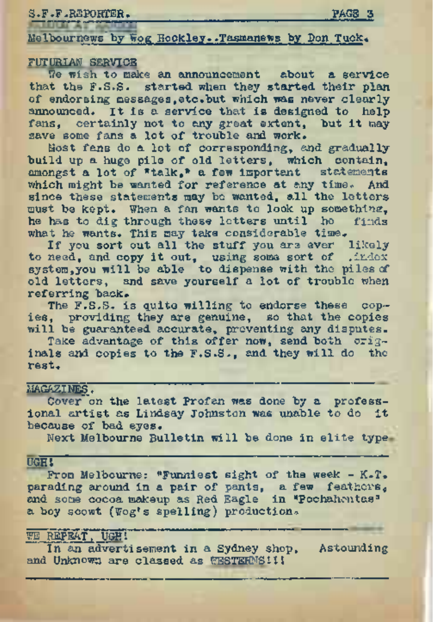S.F.F.REPORTER. PAGE 3

Melbournews by Wog Hockley. .Tasmanews by Don Tuck.

### FUTURIAN SERVICE

We wish to make an announcement about a service that the F.S.S. started when they started their plan of endorsing messages,etc.but which was never clearly announced. It is a service that is designed to help fans, certainly not to any great extent, but it may save some fans a lot of trouble and work.

Most fans do a lot of corresponding, and gradually build up a huge pile of old letters, which contain, amongst a lot of "talk," a few important statements which might be wanted for reference at any time. And since these statements may be wanted, all the letters must be kept. When a fan wants to look up somethine, he has to dig through these letters until he finds what he wants. This may take considerable time.

If you sort out all the stuff you are ever likely to need, and copy it out, using some sort of .index system, you will be able to dispense with the piles of old letters, and save yourself a lot of trouble when referring back.

The F.S.S. is quite willing to endorse these copies, providing they are genuine, so that the copies will be guaranteed accurate, preventing any disputes.

Take advantage of this offer now, send both originals and copies to the F.S.S., and they will do the rest.

#### MAGAZINES.

Cover on the latest Profan was done by a professional artist as Lindsay Johnston was unable to do it because of bad eyes.

Next Melbourne Bulletin will be done in elite type

UGH! From Melbourne: "Funniest sight of the week - K-T. parading around in a pair of pants, a few feathers, and some cocoa makeup as Red Eagle in "Pochahontas" a boy scowt (Wog's spelling) production.

# **WE REPEAT, UGH!**

In an advertisement in a Sydney shop, Astounding and Unknown are classed as WESTERNS! !!